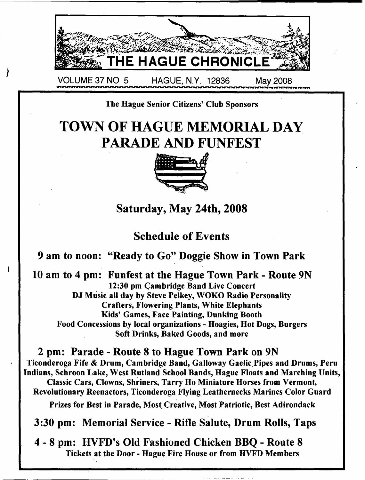

### The Hague Senior Citizens' Club Sponsors

# **TOWN OF HAGUE MEMORIAL DAY PARADE AND FUNFEST**



**Saturday, May 24th, 2008**

### **Schedule of Events**

**9 am to noon: "Ready to Go" Doggie Show in Town Park**

ł

**10 am to 4 pm: Funfest at the Hague Town Park - Route 9N** 12:30 pm Cambridge Band Live Concert DJ Music all day by Steve Pelkey, WOKO Radio Personality Crafters, Flowering Plants, White Elephants Kids' Games, Face Painting, Dunking Booth Food Concessions by local organizations - Hoagies, Hot Dogs, Burgers Soft Drinks, Baked Goods, and more

**2 pm: Parade - Route 8 to Hague Town Park on 9N** Ticonderoga Fife & Drum, Cambridge Band, Galloway Gaelic,Pipes and Drums, Peru Indians, Schroon Lake, West Rutland School Bands, Hague Floats and Marching Units, Classic Cars, Clowns, Shriners, Tarry Ho Miniature Horses from Vermont, Revolutionary Reenactors, Ticonderoga Flying Leathernecks Marines Color Guard Prizes for Best in Parade, Most Creative, Most Patriotic, Best Adirondack

**3:30 pm: Memorial Service - Rifle Salute, Drum Rolls, Taps**

**4 - 8 pm: HVFD's Old Fashioned Chicken BBQ - Route 8** Tickets at the Door - Hague Fire House or from HVFD Members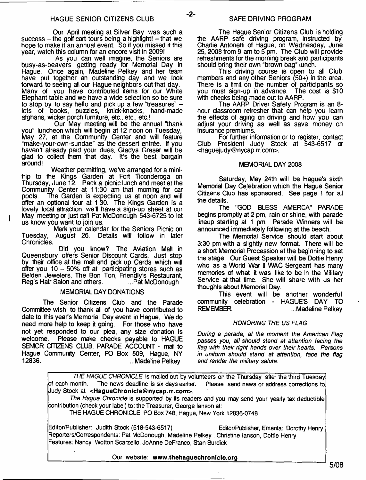Our April meeting at Silver Bay was such a  $success - the golf cart toris being a highlight! - that we$ hope to make it an annual event. So if you missed it this year, watch this column for an encore visit in 2009!

As you can well imagine, the Seniors are busy-as-beavers getting ready for Memorial Day in Hague. Once again, Madeline Pelkey and her team have put together an outstanding day and we look forward to seeing all our Hague neighbors out that day. Many of you have contributed items for our White Elephant table and we have a wide selection so be sure to stop by to say hello and pick up a few "treasures" –<br>lots of books, puzzles, knick-knacks, hand-made lots of books, puzzles, afghans, wicker porch furniture, etc., etc., etc.!

Our May meeting will be the annual "thank you" luncheon which will begin at 12 noon on Tuesday, May 27, at the Community Center and will feature "make-your-own-sundae" as the dessert entree. If you haven't already paid your dues, Gladys Graser will be glad to collect them that day. It's the best bargain around!

Weather permitting, we've arranged for a minitrip to the Kings Garden at Fort Ticonderoga on Thursday, June 12. Pack a picnic lunch and meet at the Community Center at 11:30 am that morning for car<br>pools. The Garden is expecting us at noon and will The Garden is expecting us at noon and will offer an optional tour at 1:30. The Kings Garden is a lovely local attraction: we'll have a sign-up sheet at our May meeting or just call Pat McDonough 543-6725 to let us know you want to join us.

Mark your calendar for the Seniors Picnic on Tuesday, August 26. Details will follow in later Chronicles.

1

Did you know? The Aviation Mall in Queensbury offers Senior Discount Cards. Just stop by their office at the mall and pick up Cards which will offer you  $10 - 50\%$  off at participating stores such as Belden Jewelers, The Bon Ton, Friendly's Restaurant, Regis Hair Salon and others.

#### MEMORIAL DAY DONATIONS

The Senior Citizens Club and the Parade Committee wish to thank all of you have contributed to date to this year's Memorial Day event in Hague. We do need more help to keep it going. For those who have not yet responded to our plea, any size donation is Please make checks payable to HAGUE SENIOR CITIZENS CLUB, PARADE ACCOUNT - mail to Hague Community Center, PO Box 509, Hague, NY ...Madeline Pelkey

The Hague Senior Citizens Club is holding the AARP safe driving program, instructed by Charlie Antonetti of Hague, on Wednesday, June 25, 2008 from 9 am to 5 pm. The Club will provide refreshments for the morning break and participants should bring their own "brown bag" lunch.

This driving course is open to all Club members and any other Seniors (50+) in the area. There is a limit on the number of participants so<br>you must sign-up in advance. The cost is \$10 you must sign-up in advance. with checks being made out to AARP.

The AARP Driver Safety Program is an 8hour classroom refresher that can help you learn the effects of aging on driving and how you can adjust your driving as well as save money on insurance premiums.

For further information or to register, contact Club President Judy Stock at 543-6517 or <[haguejudy@nycap.rr.com>](mailto:haguejudy@nycap.rr.com).

#### MEMORIAL DAY 2008

Saturday, May 24th will be Hague's sixth Memorial Day Celebration which the Hague Senior Citizens Club has sponsored. See page 1 for all the details.

The "GOD BLESS AMERCA" PARADE begins promptly at 2 pm, rain or shine, with parade lineup starting at 1 pm. Parade Winners will be announced immediately following at the beach.

The Memorial Service should start about 3:30 pm with a slightly new format. There will be a short Memorial Procession at the beginning to set the stage. Our Guest Speaker will be Dottie Henry who as a World War II WAC Sergeant has many memories of what it was like to be in the Military Service at that time. She will share with us her thoughts about Memorial Day.

This event will be another wonderful community celebration - HAGUE'S DAY TO ...Madeline Pelkey

#### *HONORING THE US FLAG*

*During a parade, at the moment the American Flag passes you, all should stand at attention facing the flag with their right hands over their hearts. Persons in uniform should stand at attention, face the flag and render the military salute.*

|                                                                                                  | THE HAGUE CHRONICLE is mailed out by volunteers on the Thursday after the third Tuesday     |
|--------------------------------------------------------------------------------------------------|---------------------------------------------------------------------------------------------|
| of each month. The news deadline is six days earlier. Please send news or address corrections to |                                                                                             |
| Uudy Stock at <haguechronicle@nycap.rr.com>.</haguechronicle@nycap.rr.com>                       |                                                                                             |
|                                                                                                  | The Hague Chronicle is supported by its readers and you may send your yearly tax deductible |
| contribution (check your label) to: the Treasurer, George lanson at:                             |                                                                                             |
| THE HAGUE CHRONICLE, PO Box 748, Hague, New York 12836-0748                                      |                                                                                             |
| Editor/Publisher: Judith Stock (518-543-6517)                                                    | Editor/Publisher, Emerita: Dorothy Henry                                                    |
| Reporters/Correspondents: Pat McDonough, Madeline Pelkey, Christine lanson, Dottie Henry         |                                                                                             |
| Features: Nancy Wotton Scarzello, JoAnne DeFranco, Stan Burdick                                  |                                                                                             |
| Our website: www.thehaguechronicle.org                                                           |                                                                                             |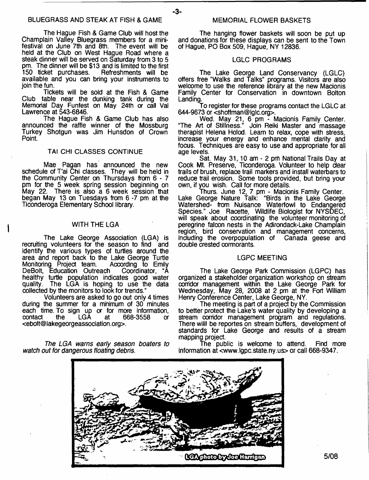The Hague Fish & Game Club will host the Champlain Valley Bluegrass members for a minifestival on June 7th and 8th. The event will be held at the Club on West Hague Road where a steak dinner will be served on Saturday from 3 to 5 pm. The dinner will be \$13 and is limited to the first 150 ticket purchases. Refreshments will be Refreshments will be available and you can bring your instruments to join the fun.

Tickets will be sold at the Fish & Game Club table near the dunking tank during the Memorial Day Funfest on May 24th or call Val Lawrence at 543-6846.

The Hague Fish & Game Club has also announced the raffle winner of the Mossburg Turkey Shotgun was Jim Hunsdon of Crown Point.

#### TAI CHI CLASSES CONTINUE

Mae Pagan has announced the new schedule of T'ai Chi classes. They will be held in the Community Center on Thursdays from 6 - 7 pm for the 5 week spring session beginning on May 22. There is also a 6 week session that began May 13 on Tuesdays from 6 -7 pm at the Ticonderoga Elementary School library.

#### WITH THE LGA

The Lake George Association (LGA) is recruiting volunteers for the season to find and identify the various types of turtles around the area and report back to the Lake George Turtle<br>Monitoring Project team. According to Emily Monitoring Project team. According to Emily<br>DeBolt, Education Outreach Coordinator, "A DeBolt, Education Outreach healthy turtle population indicates good water quality. The LGA is hoping to use the data collected by the monitors to look for trends."

Volunteers are asked to go out only 4 times during the summer for a minimum of 30 minutes each time. To sign up or for more information, contact the LGA at 668-3558 or <[ebolt@lakegeorgeassociation.org>](mailto:ebolt@lakegeorgeassociation.org).

*The LGA warns early season boaters to watch out for dangerous floating debris.*

The hanging flower baskets will soon be put up and donations for these displays can be sent to the Town of Hague, PO Box 509, Hague, NV 12836.

#### LGLC PROGRAMS

The Lake George Land Conservancy (LGLC) offers free "Walks and Talks" programs. Visitors are also welcome to use the reference library at the new Macionis Family Center for Conservation in downtown Bolton Landing.

To register for these programs contact the LGLC at 644-9673 or [<shoffman@lglc.org>](mailto:shoffman@lglc.org).

Wed. May 21, 6 pm - Macionis Family Center. "The Art of Stillness." Join Reiki Master and massage therapist Helena Holod. Learn to relax, cope with stress, increase your energy and enhance mental clarity and focus. Techniques are easy to use and appropriate for all age levels.

Sat. May 31, 10 am - 2 pm National Trails Dav at Cook Mt. Preserve, Ticonderoga. Volunteer to help dear trails of brush, replace trail markers and install waterbars to reduce trail erosion. Some tools provided, but bring your own, if you wish. Call for more details.

Thurs. June 12, 7 pm - Macionis Family Center. Lake George Nature Talk: "Birds in the Lake George Watershed- from Nuisance Waterfowl to Endangered Species." Joe Racette, Wildlife Biologist for NYSDEC, will speak about coordinating the volunteer monitoring of peregrine falcon nests in the Adirondack-Lake Champlain region, bird conservation and management concerns, induding the overpopulation of Canada geese and double crested cormorants.

#### LGPC MEETING

The Lake George Park Commission (LGPC) has organized a stakeholder organization workshop on stream corridor management within the Lake George Park for Wednesday, May 28, 2008 at 2 pm at the Fort William Henry Conference Center, Lake George, NY.

The meeting is part of a project by the Commission to better protect the Lake's water quality by developing a stream corridor management program and regulations. There willl be reportes on stream buffers, development of standards for Lake George and results of a stream mapping project.

The public is welcome to attend. Find more information at <[www.lgpc.state.ny.us](http://www.lgpc.state.ny.us)> or call 668-9347.



-3-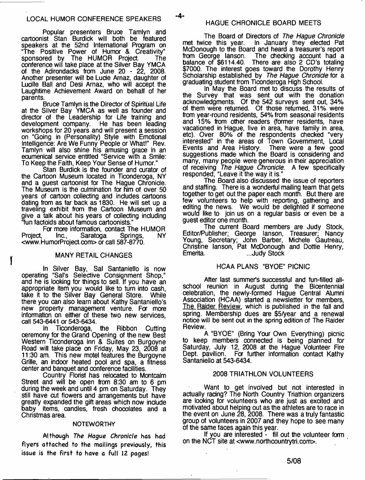**4**-

Popular presenters Bruce Tamlyn and cartoonist Stan Burdick will both be featured speakers at the 52nd International Program on "The Positive Power of Humor & Creativity" sponsored by The HUMOR Project The conference will take place at the Silver Bay YMCA of the Adirondacks from June 20 - 22, 2008. Another presenter will be Lucie Arnaz, daughter of Lucille Ball and Desi Arnaz, who will accept the Laughtime Achievement Award on behalf of her parents.

Bruce Tamlyn is the Director of Spiritual Life at the Silver Bay YMCA as well as founder and director of the Leadership for Life training and development company. He has been leading workshops for 20 years and will present a session on "Going in (Personality) Style with Emotional Intelligence: Are We Funny People or What!" Rev. Tamlyn will also shine his amusing grace in an ecumenical service entitled "Service with a Smile: To Keep the Faith, Keep Your Sense of Humor."

Stan Burdick is the founder and curator of the Cartoon Museum located in Ticonderoga, NY and a guest cartoonist for The Hague Chronicle. The Museum is the culmination for him of over 50 years of cartoon collecting and includes cartoons dating from as far back as 1830. He will set up a traveling exhibit from the Cartoon Museum and give a talk about his years of collecting including "fun factoids about famous cartoonists."

For more information, contact The HUMOR<br>Inc., Saratoga Springs, NY Project, Inc., Saratoga <[www.HumorProject.com>](http://www.HumorProject.com) or call 587-8770.

#### MANY RETAIL CHANGES

In Silver Bay, Sal Santanielfo is now operating "Sal's Selective Consignment Shop," operating "Sal's Selective Consignment Shop,"<br>and he is looking for things to sell. If you have an appropriate item you would like to turn into cash, take it to the Silver Bay General Store. While there you can also learn about Kathy Santaniello's new property management venture. For more information on either of these two new services, call 543-6441 or 543-6434.

In Ticonderoga, the Ribbon Cutting ceremony for the Grand Opening of the new Best Western Ticonderoga Inn & Suites on Burgoyne Road will take place on Friday, May 23, 2008 at 11:30 am. This new motel features the Burgoyne Grille, an indoor heated pool and spa, a fitness center and banquet and conference facilities.

Country Florist has relocated to Montcalm Street and will be open from 8:30 am to 6 pm during the week and until 4 pm on Saturday. They still have cut flowers and arrangements but have greatly expanded the gift areas which now include baby items, candles, fresh chocolates and a Christmas area.

#### **NOTEWORTHY**

**Although** *The Hague Chronicle* **has had flyers attached to the mailings previously, this issue is the first to have a full 12 pages!**

The Board of Directors of *The Hague Chronicle*<br>met twice this year. In January they elected Pat In January they elected Pat. McDonough to the Board and heard a treasurer's report from George lanson. The checking account had a balance of \$6114.40. There are also 2 CD's totaling \$7000. The interest goes toward the Dorothy Henry Scholarship established by *The Hague Chronicle* for a graduating student from Ticonderoga High School.

In May the Board met to discuss the results of the Survey that was sent out with the donation acknowledgments. Of the 542 surveys sent out, 34% of them were returned. Of those returned, 31% were from year-round residents, 54% from seasonal residents and 15% from other readers (famer residents, have vacationed in Hague, live in area, have family in area, etc). Over 80% of the respondents checked "very interested" in the areas of Town Government, Local Events and Area History. There were a few good suggestions made which the Board is considering and many, many people were generous in their appreciation of receiving *The Hague Chronicle.* A few specifically responded, "Leave it the way it is."

The Board also discussed the issue of reporters and staffing. There is a wonderful mailing team that gets together to get out the paper each month. But there are few volunteers to help with reporting, gathering and editing the news. We would be delighted if someone would like to join us on a regular basis or even be a guest editor one month.

The current Board members are Judy Stock, Editor/Publisher; George lanson, Treasurer; Nancy Young, Secretary; John Barber, Michele Gautreau, Christine lanson, Pat McDonough and Dottie Henry, Emerita. ...Judy Stock

#### HCAA PLANS "BYOE" PICNIC

After last summer's successful and fun-filled allschool reunion in August during the Bicentennial celebration, the newly-formed Hague Central Alumni Association (HCAA) started a newsletter for members, The Raider Review, which is published in the fall and spring. Membership dues are \$5/year and a renewal notice will be sent out in the spring edition of The Raider Review.

A "BYOE" (Bring Your Own Everything) picnic to keep members connected is being planned for Saturday, July 12, 2008 at the Hague Volunteer Fire Dept, pavilion. For further information contact Kathy Santaniello at 543-6434.

#### 2008 TRIATHLON VOLUNTEERS

Want to get involved but not interested in actually racing? The North Country Triathlon organizers are looking for volunteers who are just as excited and motivated about helping out as the athletes are to race in the event on June 28, 2008. There was a truly fantastic group of volunteers in 2007 and they hope to see many of the same faces again this year.

If you are interested - fill out the volunteer form on the NCT site at <[www.northcountrytri.com](http://www.northcountrytri.com)>.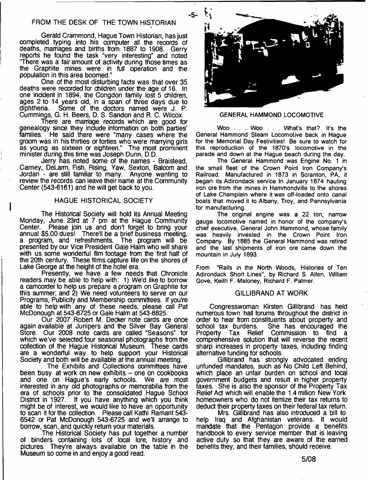### FROM THE DESK OF THE TOWN HISTORIAN

Gerald Crammond, Hague Town Historian, has just completed typing into his computer all the records of deaths, marriages and births from 1887 to 1908. Gerry reports he found the task "very interesting" and noted 'There was a fair amount of activity during those times as the Graphite mines were in full operation and the population in this area boomed."

One of the most disturbing facts was that over 35 deaths were recorded for children under the age of 16. In one incident in 1894, the Congdon family lost 5 children, ages 2 to 14 years old, in a span of three days due to diphtheria. Some of the doctors named were J. P. Cummings, G. H. Beers, D. S. Sandon and R. C. Wilcox.

There are marriage records which are good for genealogy since they include information on both parties'<br>families. He said there were "many cases where the He said there were "many cases where the groom was in his thirties or forties who were marrying girls as young as sixteen or eighteen." The most prominent minister during this time was Joseph Dunn, D.D.

Jerry has noted some of the names - Braistead, Carney, DeLarm, Fish, Rising, Yaw, Sexton, Balcom and Jordan - are still familiar to many. Anyone wanting to review the records can leave their name at the Community Center (543-6161) and he will get back to you.

#### HAGUE HISTORICAL SOCIETY

The Historical Society will hold its Annual Meeting Monday, June 23rd at 7 pm at the Hague Community Center. Please join us and don't forget to bring your annual \$5.00 dues! There'll be a brief business meeting, a program, and refreshments. The program will be presented by our Vice President Gale Halm who will share with us some wonderful film footage from the first half of the 20th century. These films capture life on the shores of Lake George at the height of the hotel era.

Presently, we have a few needs that Chronicle readers may be able to help with: 1) We'd like to borrow a camcorder to help us prepare a program on Graphite for this summer; and 2) We need volunteers to serve on our Programs, Publicity and Membership committees. If you're able to help with any of these needs, please call Pat McDonough at 543-6725 or Gale Halm at 543-6825.

Our 2007 Robert M. Decker note cards are once again available at Junipers and the Silver Bay General Store. Our 2008 note cards are called "Seasons" for which we've selected four seasonal photographs from the collection of the Hague Historical Museum. These cards are a wonderful way to help support your Historical Society and both will be available at the annual meeting.

The Exhibits and Collections committees have been busy at work on new exhibits – one on cookbooks and one on Hague's early schools. We are most and one on Hague's early schools. interested in any old photographs or memorabilia from the era of schools prior to the consolidated Hague School District in 1927. If you have anything which you think might be of interest, we would like to have an opportunity to scan it for the collection. Please call Kathi Ramant 543- 6542 or Pat McDonough 543-6725 and we'll arrange to borrow, scan, and quickly return your materials.

The Historical Society has put together a number of binders containing lots of local lore, history and pictures. They're always available on the table in the Museum so come in and enjoy a good read.



#### **GENERAL HAMMOND LOCOMOTIVE**

**Woo . . . Woo . . . What's that? It's the General Hammond Steam Locomotive back in Hague for the Memorial Day Festivities! Be sure to watch for this reproduction of the 1870's locomotive in the parade and down at the Hague beach during the day.**

**The General Hammond was Engine No. 1 in the small fleet of the Crown Point Iron Company's Railroad. Manufactured in 1873 in Scranton, PA, it began its Adirondack service In January 1874 hauling iron ore from the mines in Hammondville to the shores of Lake Champlain where it was off-loaded onto canal boats that moved it to Albany, Troy, and Pennsylvania for manufacturing.**

**The original engine was a 22 ton, narrow gauge locomotive named in honor of the company's chief executive, General John Hammond, whose family was heavily invested in the Crown Point Iron Company. By 1885 the General Hammond was retired and the last shipments of iron ore came down the mountain in July 1893.**

**From "Rails in the North Woods, Histories of Ten Adirondack Short Lines", by Richard S. Allen, William Gove, Keith F. Maloney, Richard F. Palmer.**

#### GILLIBRAND AT WORK

Congresswoman Kirsten Gillibrand has held numerous town hall forums throughout the district in order to hear from constituents about property and school tax burdens. She has encouraged the Property Tax Relief Commission to find a comprehensive solution that will reverse the recent sharp increases in property taxes, including finding alternative funding for schools.

Gillibrand has strongly advocated ending unfunded mandates, such as No Child Left Behind, which place an unfair burden on school and local government budgets and result in higher property taxes. She is also the sponsor of the Property Tax Relief Act which will enable the 1.4 million New York homeowners who do not itemize their tax returns to deduct their property taxes on their federal tax return.

Mrs. Gillibrand has also introduced a bill to help Iraq and Afghanistan veterans. It would mandate that the Pentagon provide a benefits handbook to every service member that is leaving active duty so that they are aware of the earned benefits they, and their families, should receive.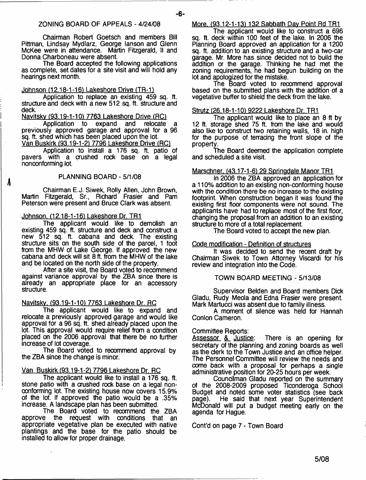Chairman Robert Goetsch and members Bill Pittman, Lindsay Mydlarz, George lanson and Glenn McKee were in attendance. Martin Fitzgerald, II and Donna Charboneau were absent.

The Board accepted the following applications as complete, set dates for a site visit and will hold any hearings next month.

#### Johnson (12.18-1-16) Lakeshore Drive (TR-1)

Application to replace an existing 459 sq. ft. structure and deck with a new 512 sq. ft. structure and deck

Naviiskv (93.19-1-101 7763 Lakeshore Drive (RC1

Application to expand and relocate a previously approved garage and approval for a 96 sq. ft. shed which has been placed upon the lot. Van Buskirk (93.19-1-2) 7796 Lakeshore Drive (RC)

Application to install a 176 sq. ft. patio of pavers with a crushed rock base on a legal nonconforming lot.

#### PLANNING BOARD-5/1/08

Chairman E.J. Siwek, Roily Allen, John Brown, Martin Fitzgerald, Sr., Richard Frasier and Pam Peterson were present and Bruce Clark was absent.

#### Johnson. (12.18-1-16) Lakeshore Dr. TR1

The applicant would like to demolish an existing 459 sq. ft. structure and deck and construct a new 512 sq. ft. cabana and deck. The existing structure sits on the south side of the parcel, 1 foot from the MHW of Lake George. If approved the new cabana and deck will sit 8 ft. from the MHW of the lake and be located on the north side of the property.

After a site visit, the Board voted to recommend against variance approval by the ZBA since there is already an appropriate place for an accessory structure.

#### Navitsky. (93.19-1-10) 7763 Lakeshore Dr. RC

The applicant would like to expand and relocate a previously approved garage and would like approval for a 96 sq. ft. shed already placed upon the lot. This approval would require relief from a condition placed on the 2006 approval that there be no further increase of lot coverage.

The Board voted to recommend approval by the ZBA since the change is minor.

#### Van Buskirk (93.19-1-217796 Lakeshore Dr. RC

The applicant would like to install a 176 sq. ft. stone patio with a crushed rock base on a legal nonoonforming lot. The existing house now covers 15.9% of the lot. If approved the patio would be a .35% increase. A landscape plan has been submitted.

The Board voted to recommend the ZBA<br>approve the request with conditions that an the request with conditions that an appropriate vegetative plan be executed with native plantings and the base for the patio should be installed to allow for proper drainage.

#### More. (93.12-1-13) 132 Sabbath Day Point Rd TR1

The applicant would like to construct a 696 sq. ft. deck within 100 feet of the lake. In 2006 the Planning Board approved an application for a 1200 sq. ft. addition to an existing structure and a two-car garage. Mr. More has since decided not to build the addition or the garage. Thinking he had met the zoning requirements, he had begun building on the lot and apologized for the mistake.

The Board voted to recommend approval based on the submitted plans with the addition of a vegetative buffer to shield the deck from the lake.

#### Strutz (26.18-1-101 9222 Lakeshore Dr. TR1

The applicant would like to place an 8 ft by 12 ft. storage shed 75 ft. from the lake and would also like to construct two retaining walls. 18 in. high for the purpose of terracing the front slope of the property.

The Board deemed the application complete and scheduled a site visit.

#### Marschner. (43.17-1-6) 29 Springdale Manor TR1

In 2006 the ZBA approved an application for a 110% addition to an existing non-conforming house with the condition there be no increase to the existing footprint. When construction began it was found the existing first floor components were not sound. The applicants have had to replace most of the first floor, changing the proposal from an addition to an existing structure to more of a total replacement.

The Board voted to accept the new plan.

#### Code modification - Definition of structures

It was decided to send the recent draft by Chairman Siwek to Town Attorney Viscardi for his review and integration into the Code.

#### TOWN BOARD MEETING - 5/13/08

Supervisor Belden and Board members Dick Gladu, Rudy Meola and Edna Frasier were present. Mark Martucci was absent due to family illness.

A moment of silence was held for Hannah Conlon Cameron.

Committee Reports:<br>Assessor & Justice: There is an opening for secretary of the planning and zoning boards as well as the derk to the Town Justice and an office helper. The Personnel Committee will review the needs and come back with a proposal for perhaps a single administrative position for 20-25 hours per week.

Coundlman Gladu reported on the summary of the 2008-2009 proposed Ticonderoga School Budget and noted some voter statistics (see back He said that next year Superintendent McDonald will put a budget meeting early on the agenda for Hague.

Cont'd on page 7 - Town Board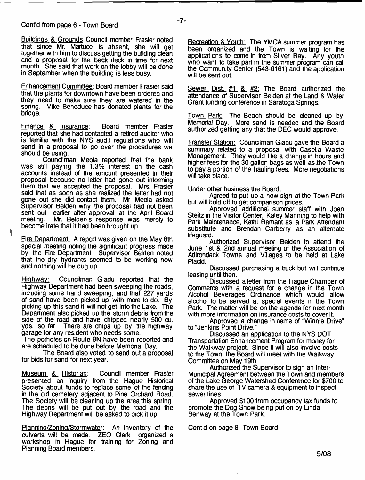Buildings & Grounds Council member Frasier noted that since Mr. Martucd is absent, she will get together with him to discuss getting the building clean and a proposal for the back deck in time for next month. She said that work on the lobby will be done in September when the building is less busy.

Enhancement Committee: Board member Frasier said that the plants for downtown have been ordered and they need to make sure they are watered in the spring. Mike Beneduce has donated plants for the bridge.

Finance &\_ Insurance: Board member Frasier reported that she had contacted a retired auditor who is familiar with the NYS audit regulations who will send in a proposal to go over the procedures we should be using.

Councilman Meola reported that the bank was still paying the 1.3% interest on the cash accounts instead of the amount presented in their proposal because no letter had gone out informing them that we accepted the proposal. Mrs. Frasier said that as soon as she realized the letter had not gone out she did contact them. Mr. Meola asked Supervisor Belden why the proposal had not been sent out earlier after approval at the April Board<br>meeting. Mr. Belden's response was merely to Mr. Belden's response was merely to become irate that it had been brought up.

Fire Department: A report was given on the May 8th special meeting noting the significant progress made by the Fire Department. Supervisor Belden noted that the dry hydrants seemed to be working now and nothing will be dug up.

Highway: Councilman Gladu reported that the Highway Department had been sweeping the roads, including some hand sweeping, and that 227 yards of sand have been picked up with more to do. By picking up this sand it will not get into the Lake. The Department also picked up the storm debris from the side of the road and have chipped nearly 500 cu. yds. so far. There are chips up by the highway garage for any resident who needs some.

The potholes on Route 9N have been reported and are scheduled to be done before Memorial Day.

The Board also voted to send out a proposal for bids for sand for next year.

<u>Museum & Historian</u>: Council member Frasier presented an inquiry from the Hague Historical Society about funds to replace some of the fencing in the old cemetery adjacent to Pine Orchard Road. The Society will be cleaning up the area this spring. The debris will be put out by the road and the Highway Department will be asked to pick it up.

Planning/Zoning/Stormwater: An inventory of the culverts will be made. ZEO Clark organized a workshop in Hague for training for Zoning and Planning Board members.

Recreation & Youth: The YMCA summer program has been organized and the Town is waiting for the applications to come in from Silver Bay. Any youth who want to take part in the summer program can call the Community Center (543-6161) and the application will be sent out.

Sewer Dist. #1 & #2. The Board authorized the attendance of Supervisor Belden at the Land & Water Grant funding conference in Saratoga Springs.

Town Park: The Beach should be cleaned up by Memorial Day. More sand is needed and the Board authorized getting any that the DEC would approve.

Transfer Station: Councilman Gladu gave the Board a summary related to a proposal with Casella Waste Management. They would like a change in hours and higher fees for the 30 gallon bags as well as the Town to pay a portion of the hauling fees. More negotiations will take place.

Under other business the Board:

Agreed to put up a new sign at the Town Park but will hold off to get comparison prices.

Approved additional summer staff with Joan Steitz in the Visitor Center, Kaley Manning to help with Park Maintenance, Kathi Ramant as a Park Attendant substitute and Brendan Carberry as an alternate lifeguard.

Authorized Supervisor Belden to attend the June 1 st & 2nd annual meeting of the Association of Adirondack Towns and Villages to be held at Lake Placid.

Discussed purchasing a truck but will continue leasing until then.

Discussed a letter from the Hague Chamber of Commerce with a request for a change in the Town Alcohol Beverages Ordinance which would allow alcohol to be served at special events in the Town Park. The matter will be on the agenda for next month with more information on insurance costs to cover it.

Approved a change in name of "Winnie Drive" to "Jenkins Point Drive."

Discussed an application to the NYS DOT Transportation Enhancement Program for money for the Walkway project. Since it will also involve costs to the Town, the Board will meet with the Walkway Committee on May 19th.

Authorized the Supervisor to sign an Inter-Municipal Agreement between the Town and members of the Lake George Watershed Conference for \$700 to share the use of TV camera & equipment to inspect sewer lines.

Approved \$100 from occupancy tax funds to promote the Dog Show being put on by Linda Benway at the Town Park.

Cont'd on page 8- Town Board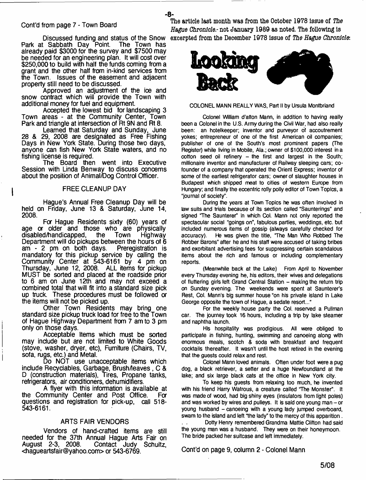#### Cont'd from page 7 - Town Board

Discussed funding and status of the Snow Park at Sabbath Day Point The Town has already paid \$3000 for the survey and \$7500 may be needed for an engineering plan. It will cost over \$250,000 to build with half the funds coming from a grant and the other half from in-kind services from the Town. Issues of the easement and adjacent property still need to be discussed.

- **8**-

Approved an adjustment of the ice and snow contract which will provide the Town with additional money for fuel and equipment

Accepted the lowest bid for landscaping 3 Town areas - at the Community Center, Town Park and triangle at intersection of Rt 9N and Rt 8.

Learned that Saturday and Sunday, June 28 & 29, 2008 are designated as Free Fishing Days in New York State. During those two days, anyone can fish New York State waters, and no fishing license is required.

The Board then went into Executive Session with Linda Benway to discuss concerns about the position of Animal/Dog Control Officer.

#### FREE CLEANUP DAY

 $\mathbf i$ 

Hague's Annual Free Cleanup Day will be held on Friday, June 13 & Saturday, June 14, 2008.

For Hague Residents sixty (60) years of age or older and those who are physically<br>disabled/handicapped, the Town Highway disabled/handicapped, the Town Highway Department will do pickups between the hours of 6 am - 2 pm on both days. Preregistration is am  $-2$  pm on both days. mandatory for this pickup service by calling the Community Center at 543-6161 by 4 pm on Thursday, June 12, 2008. ALL items for pickup MUST be sorted and placed at the roadside prior to 6 am on June 12th and may not exceed a combined total that will fit into a standard size pick up truck. These procedures must be followed *or* the items will not be picked up.

Other Town Residents may bring one standard size pickup truck load for free to the Town of Hague Highway Department from 7 am to 3 pm only on those days.

Acceptable Items which must be sorted may include but are not limited to White Goods (stove, washer, dryer, etc), Furniture (Chairs, TV, sofa, rugs, etc.) and Metal.

Do NOT use unacceptable items which include Recyclables, Garbage, Brush/leaves, C & D (construction materials), Tires, Propane tanks, refrigerators, air conditioners, dehumidifiers.

A flyer with this information is available at the Community Center and Post Office. Fa questions and registration for pick-up, call 518- 543-6161.

#### ARTS FAIR VENDORS

Vendors of hand-crafted items are still needed for the 37th Annual Hague Arts Fair on August 2-3, 2008. Contact Judy Schultz, [<hagueartsfair@yahoo.com>](mailto:hagueartsfair@yahoo.com) or 543-6769.

**The article last month was from the October** 1978 **issue of** *The Hague Chronicle*.- **not January** 1989 **as noted. The following is excerpted from the December** 1978 **issue of** *The Hague Chronicle:*



**COLONEL MANN REALLY WAS, Part II by Ursula Montbriand**

**Colonel William d'alton Mann, in addition to having really been a Colonel in the U.S. Army during the Civil War, had also really been: an hotelkeeper; inventor and purveyor of accoutrement yokes; entrepreneur of one of the first American oil companies; publisher of one of the South's most prominent papers (The Register) while living in Mobile, Ala.; owner of \$100,000 interest in a cotton seed oil refinery - the first and largest in the South; millionaire inventor and manufacturer of Railway sleeping cars; cofounder of a company that operated the Orient Express; inventor of some of the earliest refrigerator cars; owner of slaughter houses in Budapest which shipped meat to cities of western Europe from Hungary; and finally the eccentric roily polly editor of Town Topics, a "journal of society".**

**During the years at Town Topics he was often involved in law suits and trials because of its section called "Saunterings" and** signed "The Saunterer" in which Col. Mann not only reported the **spectacular social "goings on", fabulous parties, weddings, etc. but included numerous items of gossip (always carefully checked for accuracy). He was given the title, The Man Who Robbed The Robber Barons" after he and his staff were accused of taking bribes and exorbitant advertising fees for suppressing certain scandalous items about the rich and famous or including complementary reports.**

**(Meanwhile back at the Lake) From April to November every Thursday evening he, his editors, their wives and delegations of fluttering girls left Grand Central Station - making the return trip on Sunday evening. The weekends were spent at Saunterer's Rest, Col. Mann's big summer house "on his private island in Lake George opposite the town of Hague, a sedate resort..."**

**For the weekly house party the Col. reserved a Pullman car. The journey took 16 hours, including a trip by lake steamer and naphtha launch.**

**His hospitality was prodigious. All were obliged to participate in fishing, hunting, swimming and canoeing along with enormous meals, scotch & soda with breakfast and frequent cocktails thereafter. It wasn't until the host retired in the evening that the guests could relax and rest.**

**Colonel Mann loved animals. Often under foot were a pug dog, a black retriever, a setter and a huge Newfoundland at the lake; and six large black cats at the office in New York city.**

**To keep his guests from relaxing too much, he invented** with his friend Harry Watrous, a creature called "The Monster". It **was made of wood, had big shiny eyes (insulators from light poles) and was worked by wires and pulleys. It is said one young man - or young husband - canoeing with a young lady jumped overboard, swam to the island and left "the lady" to the mercy of this apparition.**

Dotty Henry remembered Grandma Mattie Clifton had said **the young man was a husband. They were on their honeymoon. The bride packed her suitcase and left immediately.**

Cont'd on page 9, column 2 - Colonel Mann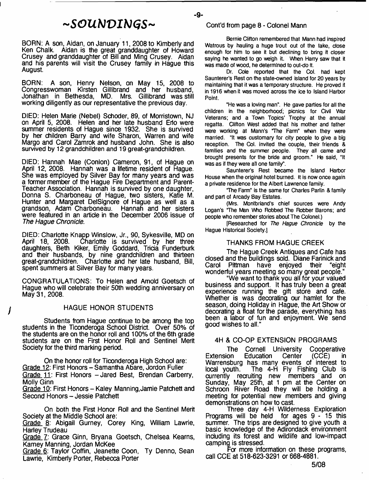## *~ S O U b ] V I b ) G S ~*

BORN: A son, Aidan, on January 11, 2008 to Kimberly and Ken Chalk. Aidan is the great granddaughter of Howard Crusey and granddaughter of Bill and Ming Crusey. Aidan and his parents will visit the Crusey family in Hague this August.

BORN: A son, Henry Nelson, on May 15, 2008 to Congresswoman Kirsten Giliibrand and her husband, Jonathan in Bethesda, MD. Mrs. Gillibrand was still working diligently as our representative the previous day.

DIED: Helen Marie (Nebel) Schoder, 89, of Morristown, NJ on April 5, 2008. Helen and her late husband Erlo were summer residents of Hague since 1932. She is survived by her children Barry and wife Sharon, Warren and wife Margo and Carol Zamrok and husband John. She is also survived by 12 grandchildren and 19 great-grandchildren.

DIED: Hannah Mae (Conlon) Cameron, 91, of Hague on April 12, 2008. Hannah was a lifetime resident of Hague. She was employed by Silver Bay for many years and was a former member of the Hague Fire Department and Parent-Teacher Association. Hannah is survived by one daughter, Donna S. Charboneau of Hague, two sisters, Katie M. Hunter and Margaret DelSignore of Hague as well as a grandson, Adam Charboneau. Hannah and her sisters were featured in an article in the December 2006 issue of *The Hague Chronicle.*

DIED: Charlotte Knapp Winslow, Jr., 90, Sykesville, MD on Charlotte is survived by her three daughters, Beth Kiker, Emily Goddard, Trida Funderburk and their husbands, by nine grandchildren and thirteen great-grandchildren. Charlotte and her late husband, Bill, spent summers at Silver Bay for many years.

CONGRATULATIONS: To Helen and Arnold Goetsch of Hague who will celebrate their 50th wedding anniversary on May 31, 2008.

#### HAGUE HONOR STUDENTS

Students from Hague continue to be among the top students in the Ticonderoga School District. Over 50% of the students are on the honor roll and 100% of the 6th grade students are on the First Honor Roll and Sentinel Merit Society for the third marking period.

On the honor roll for Ticonderoga High School are: Grade 12: First Honors - Samantha Abare, Jordon Fuller Grade 11: First Honors - Jared Best, Brendan Carberry, Molly Ginn

Grade 10: First Honors - Kaley Manning, Jamie Patchett and Second Honors - Jessie Patchett

On both the First Honor Roll and the Sentinel Merit Society at the Middle School are:

Grade g: Abigail Gurney, Corey King, William Lawrie, Harley Trudeau

Grade 7: Grace Ginn, Bryana Goetsch, Chelsea Kearns, Kamey Manning, Jordan McKee

Grade 6: Taylor Coffin, Jeanette Coon, Ty Denno, Sean Lawrie, Kimberly Porter, Rebecca Porter

#### Cont'd from page 8 - Colonel Mann

- **9**-

**Bernie Clifton remembered that Mann had inspired Watrous by hauling a huge trout out of the lake, close enough for him to see it but declining to bring it closer saying he wanted to go weigh it. When Harry saw that it was made of wood, he determined to out-do ft.**

**Dr. Cole reported that the Col. had kept Saunterer's Rest on the state-owned island for 20 years by maintaining that it was a temporary structure. He proved it in 1916 when it was moved across the ice to Island Harbor Point.**

**"He was a loving man". He gave parties for all the children in the neighborhood; picnics for Civil War Veterans; and a Town Topics' Trophy at the annual regatta. Clifton West added that his mother and father** were working at Mann's 'The Farm" when they were **married. "It was customary for city people to give a big reception. The Col. invited the couple, their friends & families and the summer people. They all came and brought presents for the bride and groom." He said, "It was as if they were all one family".**

**Saunterer's Rest became the Island Harbor House when the original hotel burned. It is now once again a private residence for the Albert Lawrence family.**

**The Farm" is the same for Charles Parlin & family and part of Arcady Bay Estates.**

**(Mrs. Montbriand's chief sources were Andy Logan's The Man Who Robbed The Robber Barons; and people who remember stories about The Colonel.)**

**[Researched for** *The Hague Chronicle* **by the Hague Historical Society.]**

#### THANKS FROM HAGUE CREEK

The Hague Creek Antiques and Cafe has closed and the buildings sold. Diane Farinick and Pittman have enjoyed wonderful years meeting so many great people."

"We want to thank you all for your valued business and support. It has truly been a great experience running the gift store and cafe. Whether is was decorating our hamlet for the season, doing Holiday in Hague, the Art Show or decorating a float for the parade, everything has been a labor of fun and enjoyment. We send good wishes to all."

#### 4H & CO-OP EXTENSION PROGRAMS

The Cornell University Cooperative<br>Extension Education Center (CCE) in Extension Education Center (CCE) in Warrensburg has many events of interest to local youth. The 4-H Fly Fishing Club is currently recruiting new members and on Sunday, May 25th, at 1 pm at the Center on Schroon River Road they will be holding a meeting for potential new members and giving demonstrations on how to cast.

Three day 4-H Wilderness Exploration Programs will be held for ages 9-15 this summer. The trips are designed to give youth a basic knowledge of the Adirondack environment including its forest and wildlife and low-impact camping is stressed.

Fa more information on these programs, call CCE at 518-623-3291 or 668-4881.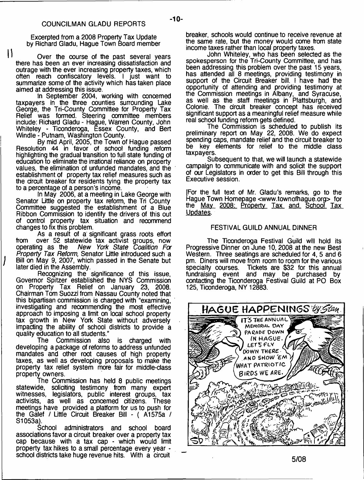Excerpted from a 2008 Property Tax Update by Richard Gladu, Hague Town Board member

 $\mathbf{I}$ 

Over the course of the past several years there has been an ever increasing dissatisfaction and outrage with the ever increasing property taxes, which often reach confiscatory levels. I just want to summarize some of the activity which has taken place aimed at addressing this issue.

In September 2004, working with concerned taxpayers in the three counties surrounding Lake George, the Tri-County Committee for Property Tax Relief was formed. Steering committee members include: Richard Gladu - Hague, Warren County, John Whiteley - Ticonderoga, Essex County, and Bert Windle - Putnam, Washington County.

By mid April, 2005, the Town of Hague passed Resolution 44 in favor of school funding reform highlighting the gradual transition to full state funding of education to eliminate the irrational reliance on property values, the elimination of unfunded mandates, and the establishment of property tax relief measures such as the circuit breaker for residents tying the property tax to a percentage of a person's income.

In May 2006, at a meeting in Lake George with Senator Little on property tax reform, the Tri County Committee suggested the establishment of a Blue Ribbon Commission to identify the drivers of this out of control property tax situation and recommend changes to fix this problem.

As a result of a significant grass roots effort from over 52 statewide tax activist groups, now operating as the New York State Coalition For operating as the *New York State Coalition For Property Tax Reform,* Senator Little introduced such a Bill on May 9, 2007, which passed in the Senate but later died in the Assembly.

Recognizing the significance of this issue, Governor Spitzer established the NYS Commission on Property Tax Relief on January 23, 2008. Chairman Tom Suozzi from Nassau County noted that this bipartisan commission is charged with "examining, investigating and recommending the most effective approach to imposing a limit on local school property tax growth in New York State without adversely impacting the ability of school districts to provide a quality education to all students."<br>The Commission also

Commission also is charged with developing a package of reforms to address unfunded mandates and other root causes of high property taxes, as well as developing proposals to make the property tax relief system more fair for middle-class property owners.

The Commission has held 8 public meetings statewide, soliciting testimony from many expert witnesses, legislators, public interest groups, tax activists, as well as concerned citizens. These meetings have provided a platform for us to push for the Galef / Little Circuit Breaker Bill - ( A1575a / S1053a).

School administrators and school board associations favor a circuit breaker over a property tax cap because with a tax cap - which would limit property tax hikes to a small percentage every year school districts take huge revenue hits. With a circuit

breaker, schools would continue to receive revenue at the same rate, but the money would come from state income taxes rather than local property taxes.

John Whiteley, who has been selected as the spokesperson for the Tri-County Committee, and has been addressing this problem over the past 15 years, has attended all 8 meetings, providing testimony in support of the Circuit Breaker bill. I have had the opportunity of attending and providing testimony at the Commission meetings in Albany, and Syracuse, as well as the staff meetings in Plattsburgh, and Colonie. The circuit breaker concept has received significant support as a meaningful relief measure while real school funding reform gets defined.

The Commission is scheduled to publish its preliminary report on May 22, 2008. We do expect spending caps, mandate relief and the circuit breaker to be key elements for relief to the middle class taxpayers.

Subsequent to that, we will launch a statewide campaign to communicate with and solicit the support of our Legislators in order to get this Bill through this Executive session.

[For the full text of Mr. Gladu's remarks, go to the Hague Town Homepage <[www.townofhague.org](http://www.townofhague.org)> for the May 2008: Property Tax and School Tax Updates.

#### FESTIVAL GUILD ANNUAL DINNER

The Ticonderoga Festival Guild will hold its Progressive Dinner on June 10,2008 at the new Best Western. Three seatings are scheduled for 4, 5 and 6 pm. Diners will move from room to room for the various specialty courses. Tickets are \$32 for this annual Tickets are \$32 for this annual fundraising event and may be purchased by contacting the Ticonderoga Festival Guild at PO Box 125, Ticonderoga, NY 12883.



- **10**-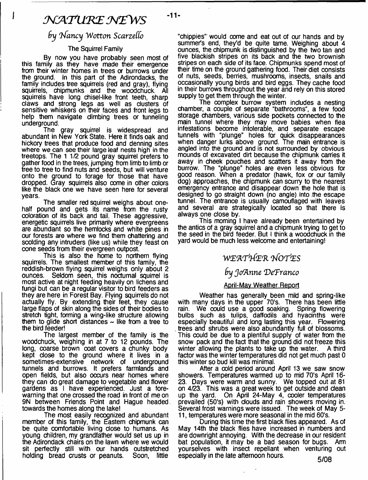### *NJATU'KE M £W S*

 $-11-$ 

### *9y T^fancy Wotton Scarzeffo*

#### The Squirrel Family

By now you have probably seen most of this family as they have made their emergence from their winter homes in trees or burrows under the ground. In this part of the Adirondacks, the family includes tree squirrels (red and gray), flying squirrels, chipmunks and the woodchuck. All squirrels have long chisel-like front teeth, sharp claws and strong legs as well as clusters of sensitive whiskers on their faces and front legs to help them navigate dimbing trees or tunneling underground.

The gray squirrel is widespread and abundant in New York State. Here it finds oak and hickory trees that produce food and denning sites where we can see their large leaf nests high in the treetops. The 11/2 pound gray squirrel prefers to gather food in the trees, jumping from limb to limb or tree to tree to find nuts and seeds, but will venture onto the ground to forage for those that have dropped. Gray squirrels also come in other colors like the black one we have seen here for several years.

The smaller red squirrel weighs about onehalf pound and gets its name from the rusty coloration of its back and tail. These aggressive, energetic squirrels live primarily where evergreens are abundant so the hemlocks and white pines in our forests are where we find them chattering and scolding any intruders (like us) while they feast on cone seeds from their evergreen outpost.

This is also the home to northern flying squirrels. The smallest member of this family, the reddish-brown flying squirrel weighs only about 2 ounces. Seldom seen, this nocturnal squirrel is most active at night feeding heavily on lichens and fungi but can be a regular visitor to bird feeders as they are here in Forest Bay. Flying squirrels do not actually fly. By extending their feet, they cause large flaps of skin along the sides of their bodies to stretch tight, forming a wing-like structure allowing them to glide short distances  $\sim$  like from a tree to the bird feeder!

The largest member of the family is the woodchuck, weighing in at 7 to 12 pounds. The long, coarse brown coat covers a chunky body kept dose to the ground where it lives in a sometimes-extensive network of underground tunnels and burrows. It prefers farmlands and open fields, but also occurs near homes where they can do great damage to vegetable and flower gardens as I have experienced. Just a forewarning that one crossed the road in front of me on 9N between Friends Point and Hague headed, towards the homes along the lake!

The most easily recognized and abundant member of this family, the Eastern chipmunk can be quite comfortable living dose to humans. As young children, my grandfather would set us up in the Adirondack chairs on the lawn where we would sit perfectly still with our hands outstretched holding bread crusts or peanuts. Soon, little

"chippies"' would come and eat out of our hands and by summer's end, they'd be quite tame. Weighing about 4 ounces, the chipmunk is distinguished by the two tan and five blackish stripes on its back and the two brownish stripes on each side of its face. Chipmunks spend most of their time on the ground gathering food. Their diet consists of nuts, seeds, berries, mushrooms, insects, snails and occasionally young birds and bird eggs. They cache food in their burrows throughout the year and rely on this stored supply to get them through the winter.

The complex burrow system includes a nesting chamber, a couple of separate "bathrooms", a few food storage chambers, various side pockets connected to the main tunnel where they may move babies when flea infestations become intolerable, and separate escape tunnels with "plunge" holes for quick disappearances when danger lurks above ground. The main entrance is angled into the ground and is not surrounded by obvious mounds of excavated dirt because the chipmunk carries it away in cheek pouches and scatters it away from the burrow. The "plunge" holes are even less obvious for good reason. When a predator (hawk, fox or our family dog) approaches, the chipmunk can scurry to the nearest emergency entrance and disappear down the hole that is designed to go straight down (no angle) into the escape tunnel. The entrance is usually camouflaged with leaves and several are strategically located so that there is always one close by.

This morning I have already been entertained by the antics of a gray squirrel and a chipmunk trying to get to the seed in the bird feeder. But I think a woodchuck in the yard would be much less welcome and entertaining!

### *W E'AT'lfe'R 'bfO'f'ES*

### *by JorAnne 'DeTranco*

#### April-Mav Weather Report

Weather has generally been mild and spring-like with many days in the upper 70's. There has been little rain. We could use a good soaking. Spring flowering We could use a good soaking. Spring flowering bulbs such as tulips, daffodils and hyacinths were especially beautiful and long lasting this year. Flowering trees and shrubs were also abundantly full of blossoms. This could be due to a plentiful supply of water from the snow pack and the fact that the ground did not freeze this winter allowing the plants to take up the water. A third factor was the winter temperatures did not get much past 0 this winter so bud kill was minimal.

After a cold period around April 13 we saw snow showers. Temperatures warmed up to mid 70's April 16-23. Days were warm and sunny. We topped out at 81 on 4/23. This was a great week to get outside and dean up the yard. On April 24-May 4, cooler temperatures prevailed (50's) with douds and rain showers moving in. Several frost warnings were issued. The week of May 5- 11, temperatures were more seasonal in the mid 60's.

During this time the first black flies appeared. As of May 14th the black flies have increased in numbers and are downright annoying. With the decrease in our resident bat population, it may be a bad season for bugs. Arm yourselves with insect repellant when venturing out especially in the late afternoon hours. 6/08